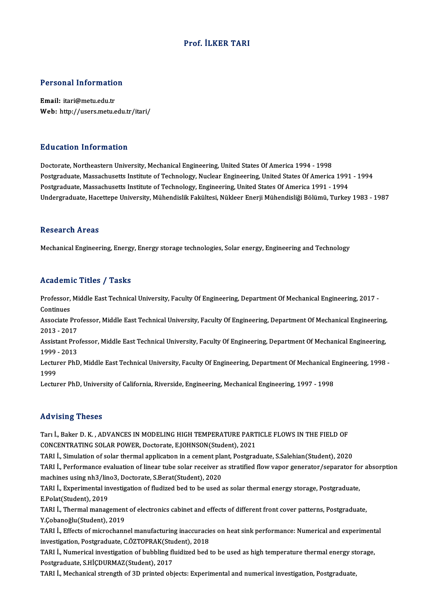#### Prof. İLKER TARI

# Personal Information

Personal Informatio<br>Email: itari@metu.edu.tr<br>Web: http://users.metu.e Email: itari@metu.edu.tr<br>Web: http://users.metu.edu.tr/itari/

#### Education Information

Doctorate, Northeastern University, Mechanical Engineering, United States Of America 1994 - 1998 Postgraduate, Massachusetts Institute of Technology, Nuclear Engineering, United States Of America 1991 - 1994 Postgraduate, Massachusetts Institute of Technology, Engineering, United States Of America 1991 - 1994 Undergraduate, Hacettepe University, Mühendislik Fakültesi, Nükleer Enerji Mühendisliği Bölümü, Turkey 1983 - 1987

#### Research Areas

Mechanical Engineering, Energy, Energy storage technologies, Solar energy, Engineering and Technology

#### Academic Titles / Tasks

Academic Titles / Tasks<br>Professor, Middle East Technical University, Faculty Of Engineering, Department Of Mechanical Engineering, 2017 -<br>Continues Professor,<br>Continues<br>Associate L Professor, Middle East Technical University, Faculty Of Engineering, Department Of Mechanical Engineering, 2017<br>Continues<br>Associate Professor, Middle East Technical University, Faculty Of Engineering, Department Of Mechani

Continues<br>Associate Pro<br>2013 - 2017<br>Assistant Pro Associate Professor, Middle East Technical University, Faculty Of Engineering, Department Of Mechanical Engineering,<br>2013 - 2017<br>Assistant Professor, Middle East Technical University, Faculty Of Engineering, Department Of

2013 - 2017<br>Assistant Professor, Middle East Technical University, Faculty Of Engineering, Department Of Mechanical Engineering,<br>1999 - 2013 Assistant Professor, Middle East Technical University, Faculty Of Engineering, Department Of Mechanical Engineering,<br>1999 - 2013<br>Lecturer PhD, Middle East Technical University, Faculty Of Engineering, Department Of Mechani

1999<br>Lectur<br>1999<br>Lectur Lecturer PhD, Middle East Technical University, Faculty Of Engineering, Department Of Mechanical E<br>1999<br>Lecturer PhD, University of California, Riverside, Engineering, Mechanical Engineering, 1997 - 1998

Lecturer PhD, University of California, Riverside, Engineering, Mechanical Engineering, 1997 - 1998<br>Advising Theses

Advising Theses<br>Tarı İ., Baker D. K. , ADVANCES IN MODELING HIGH TEMPERATURE PARTICLE FLOWS IN THE FIELD OF<br>CONCENTRATING SOLAR ROWER, Pestarata EJOUNSON(Student), 2021 TRAVISHING THESES<br>Tari İ., Baker D. K. , ADVANCES IN MODELING HIGH TEMPERATURE PART<br>CONCENTRATING SOLAR POWER, Doctorate, E.JOHNSON(Student), 2021<br>TARLİ, Simulation of solar thermal application in a coment plant. Bostares Tarı İ., Baker D. K. , ADVANCES IN MODELING HIGH TEMPERATURE PARTICLE FLOWS IN THE FIELD OF<br>CONCENTRATING SOLAR POWER, Doctorate, E.JOHNSON(Student), 2021<br>TARI İ., Simulation of solar thermal application in a cement plant,

CONCENTRATING SOLAR POWER, Doctorate, E.JOHNSON(Student), 2021<br>TARI İ., Simulation of solar thermal application in a cement plant, Postgraduate, S.Salehian(Student), 2020<br>TARI İ., Performance evaluation of linear tube sola TARI İ., Simulation of solar thermal application in a cement pla<br>TARI İ., Performance evaluation of linear tube solar receiver a<br>machines using nh3/lino3, Doctorate, S.Berat(Student), 2020<br>TABLL, Evnerimental investigation TARI İ., Performance evaluation of linear tube solar receiver as stratified flow vapor generator/separator fo<br>machines using nh3/lino3, Doctorate, S.Berat(Student), 2020<br>TARI İ., Experimental investigation of fludized bed

machines using nh3/lino3, Doctorate, S.Berat(Student), 2020<br>TARI İ., Experimental investigation of fludized bed to be used as solar thermal energy storage, Postgraduate,<br>E.Polat(Student), 2019 TARI İ., Experimental investigation of fludized bed to be used as solar thermal energy storage, Postgraduate,<br>E.Polat(Student), 2019<br>TARI İ., Thermal management of electronics cabinet and effects of different front cover p

E.Polat(Student), 2019<br>TARI İ., Thermal management<br>Y.Çobanoğlu(Student), 2019<br>TARLİ, Effects of misyoshann TARI İ., Thermal management of electronics cabinet and effects of different front cover patterns, Postgraduate,<br>Y.Çobanoğlu(Student), 2019<br>TARI İ., Effects of microchannel manufacturing inaccuracies on heat sink performanc

Y.Çobanoğlu(Student), 2019<br>TARI İ., Effects of microchannel manufacturing inaccuracie<br>investigation, Postgraduate, C.ÖZTOPRAK(Student), 2018<br>TARLL, Numeriasl investigation of bubbling fluidiged bed i TARI İ., Effects of microchannel manufacturing inaccuracies on heat sink performance: Numerical and experiment<br>investigation, Postgraduate, C.ÖZTOPRAK(Student), 2018<br>TARI İ., Numerical investigation of bubbling fluidized b

investigation, Postgraduate, C.ÖZTOPRAK(Student), 2018<br>TARI İ., Numerical investigation of bubbling fluidized bed to be used as high temperature thermal energy sto<br>Postgraduate, S.HİÇDURMAZ(Student), 2017<br>TARI İ., Mechanic TARI İ., Numerical investigation of bubbling fluidized bed to be used as high temperature thermal energy storage,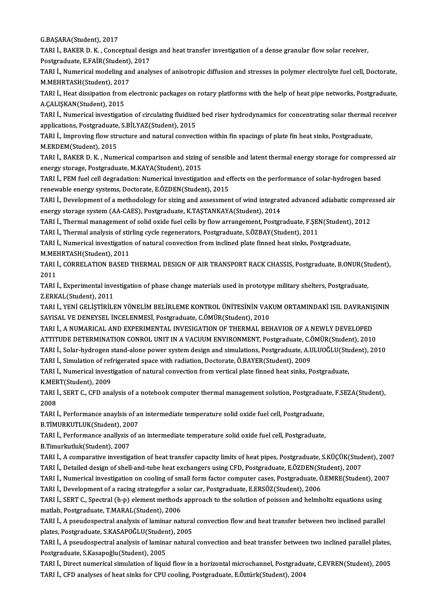G.BAŞARA(Student),2017

G.BAŞARA(Student), 2017<br>TARI İ., BAKER D. K. , Conceptual design and heat transfer investigation of a dense granular flow solar receiver,<br>Restanaduata E EAIR(Student), 2017 G.BAŞARA(Student), 2017<br>TARI İ., BAKER D. K. , Conceptual desiş<br>Postgraduate, E.FAİR(Student), 2017<br>TARLİ, Numerisel modeling and aneli TARI İ., BAKER D. K. , Conceptual design and heat transfer investigation of a dense granular flow solar receiver,<br>Postgraduate, E.FAİR(Student), 2017<br>TARI İ., Numerical modeling and analyses of anisotropic diffusion and st

Postgraduate, E.FAİR(Student)<br>TARI İ., Numerical modeling an<br>M.MEHRTASH(Student), 2017<br>TABLL, Hoat discination from a M.MEHRTASH(Student), 2017<br>TARI İ., Heat dissipation from electronic packages on rotary platforms with the help of heat pipe networks, Postgraduate,

A.ÇALIŞKAN(Student),2015 TARI İ., Heat dissipation from electronic packages on rotary platforms with the help of heat pipe networks, Postgraduate,<br>A.ÇALIŞKAN(Student), 2015<br>TARI İ., Numerical investigation of circulating fluidized bed riser hydrod

A.ÇALIŞKAN(Student), 2015<br>TARI İ., Numerical investigation of circulating fluidized<br>applications, Postgraduate, S.BİLYAZ(Student), 2015<br>TABLİ, Improving flow structure and natural convect TARI İ., Numerical investigation of circulating fluidized bed riser hydrodynamics for concentrating solar thermal<br>applications, Postgraduate, S.BİLYAZ(Student), 2015<br>TARI İ., Improving flow structure and natural convection

applications, Postgraduate,<br>TARI İ., Improving flow str<br>M.ERDEM(Student), 2015<br>TABLİ, BAKER D. K., Num TARI İ., Improving flow structure and natural convection within fin spacings of plate fin heat sinks, Postgraduate,<br>M.ERDEM(Student), 2015<br>TARI İ., BAKER D. K. , Numerical comparison and sizing of sensible and latent therm

M.ERDEM(Student), 2015<br>TARI İ., BAKER D. K. , Numerical comparison and sizing of sensible and latent thermal energy storage for compressed air<br>energy storage, Postgraduate, M.KAYA(Student), 2015 TARI İ., BAKER D. K. , Numerical comparison and sizing of sensible and latent thermal energy storage for compresse<br>energy storage, Postgraduate, M.KAYA(Student), 2015<br>TARI İ., PEM fuel cell degradation: Numerical investiga

energy storage, Postgraduate, M.KAYA(Student), 2015<br>TARI İ., PEM fuel cell degradation: Numerical investigation and effenewable energy systems, Doctorate, E.ÖZDEN(Student), 2015<br>TABLL, Development of a methodology for siti TARI İ., PEM fuel cell degradation: Numerical investigation and effects on the performance of solar-hydrogen based<br>renewable energy systems, Doctorate, E.ÖZDEN(Student), 2015<br>TARI İ., Development of a methodology for sizin

renewable energy systems, Doctorate, E.ÖZDEN(Student), 2015<br>TARI İ., Development of a methodology for sizing and assessment of wind integrat<br>energy storage system (AA-CAES), Postgraduate, K.TAŞTANKAYA(Student), 2014<br>TABLL, TARI İ., Development of a methodology for sizing and assessment of wind integrated advanced adiabatic compre<br>energy storage system (AA-CAES), Postgraduate, K.TAŞTANKAYA(Student), 2014<br>TARI İ., Thermal management of solid o energy storage system (AA-CAES), Postgraduate, K.TAŞTANKAYA(Student), 2014<br>TARI İ., Thermal management of solid oxide fuel cells by flow arrangement, Postgraduate, F.ŞEI<br>TARI İ., Thermal analysis of stirling cycle regenera

TARI İ., Thermal management of solid oxide fuel cells by flow arrangement, Postgraduate, F.ŞEN(Student)<br>TARI İ., Thermal analysis of stirling cycle regenerators, Postgraduate, S.ÖZBAY(Student), 2011<br>TARI İ., Numerical inve TARI İ., Thermal analysis of stirling cycle regenerators, Postgraduate, S.ÖZBAY(Student), 2011<br>TARI İ., Numerical investigation of natural convection from inclined plate finned heat sinks, Postgraduate,

M.MEHRTASH(Student), 2011

TARI İ., CORRELATION BASED THERMAL DESIGN OF AIR TRANSPORT RACK CHASSIS, Postgraduate, B.ONUR(Student),<br>2011 TARI İ., CORRELATION BASED THERMAL DESIGN OF AIR TRANSPORT RACK CHASSIS, Postgraduate, B.ONUR(St<br>2011<br>TARI İ., Experimental investigation of phase change materials used in prototype military shelters, Postgraduate,<br>7 EPKAL

2011<br>TARI İ., Experimental inve<br>Z.ERKAL(Student), 2011<br>TARLİ, YENİ CELİSTİRİLI TARI İ., Experimental investigation of phase change materials used in prototype military shelters, Postgraduate,<br>Z.ERKAL(Student), 2011<br>TARI İ., YENİ GELİŞTİRİLEN YÖNELİM BELİRLEME KONTROL ÜNİTESİNİN VAKUM ORTAMINDAKİ ISIL

Z.ERKAL(Student), 2011<br>TARI İ., YENİ GELİŞTİRİLEN YÖNELİM BELİRLEME KONTROL ÜNİTESİNİN VAK<br>SAYISAL VE DENEYSEL İNCELENMESİ, Postgraduate, C.ÖMÜR(Student), 2010<br>TARLİ, A NUMARICAL AND EYRERIMENTAL INVESICATION OF TUERMAL BE TARI İ., YENİ GELİŞTİRİLEN YÖNELİM BELİRLEME KONTROL ÜNİTESİNİN VAKUM ORTAMINDAKİ ISIL DAVRANIŞ<br>SAYISAL VE DENEYSEL İNCELENMESİ, Postgraduate, C.ÖMÜR(Student), 2010<br>TARI İ., A NUMARICAL AND EXPERIMENTAL INVESIGATION OF THE

SAYISAL VE DENEYSEL İNCELENMESİ, Postgraduate, C.ÖMÜR(Student), 2010<br>TARI İ., A NUMARICAL AND EXPERIMENTAL INVESIGATION OF THERMAL BEHAVIOR OF A NEWLY DEVELOPED<br>ATTITUDE DETERMINATION CONROL UNIT IN A VACUUM ENVIRONMENT, P TARI İ., A NUMARICAL AND EXPERIMENTAL INVESIGATION OF THERMAL BEHAVIOR OF A NEWLY DEVELOPED<br>ATTITUDE DETERMINATION CONROL UNIT IN A VACUUM ENVIRONMENT, Postgraduate, C.ÖMÜR(Student), 2010<br>TARI İ., Solar-hydrogen stand-alon ATTITUDE DETERMINATION CONROL UNIT IN A VACUUM ENVIRONMENT, Postgraduate, C.C.<br>TARI İ., Solar-hydrogen stand-alone power system design and simulations, Postgraduate, A.U<br>TARI İ., Simulation of refrigerated space with radia TARI İ., Solar-hydrogen stand-alone power system design and simulations, Postgraduate, A.ULUOĞLU(Student), 2010<br>TARI İ., Simulation of refrigerated space with radiation, Doctorate, Ö.BAYER(Student), 2009

TARI İ., Numerical investigation of natural convection from vertical plate finned heat sinks, Postgraduate, TARI İ., Numerical investigation of natural convection from vertical plate finned heat sinks, Postgraduate,<br>K.MERT(Student), 2009<br>TARI İ., SERT C., CFD analysis of a notebook computer thermal management solution, Postgradu

K.MERT(Student), 2009<br>TARI İ., SERT C., CFD an:<br>2008 TARI İ., SERT C., CFD analysis of a notebook computer thermal management solution, Postgradua<br>2008<br>TARI İ., Performance anaylsis of an intermediate temperature solid oxide fuel cell, Postgraduate,<br>P.TIMIRKUTI UK(Student),

TARI İ., Performance anaylsis of an intermediate temperature solid oxide fuel cell, Postgraduate, B.TİMURKUTLUK(Student), 2007 TARI İ., Performance anaylsis of an intermediate temperature solid oxide fuel cell, Postgraduate,<br>B.TİMURKUTLUK(Student), 2007<br>TARI İ., Performance anallysis of an intermediate temperature solid oxide fuel cell, Postgradua

B.TİMURKUTLUK(Student), 2007<br>TARI İ., Performance anallysis<br>B.Timurkutluk(Student), 2007<br>TABLİ A comparative investiss

B.Timurkutluk(Student), 2007<br>TARI İ., A comparative investigation of heat transfer capacity limits of heat pipes, Postgraduate, S.KÜÇÜK(Student), 2007 TARI İ., Detailed design of shell-and-tube heat exchangers using CFD, Postgraduate, E.ÖZDEN(Student), 2007 TARI İ., A comparative investigation of heat transfer capacity limits of heat pipes, Postgraduate, S.KÜÇÜK(Student), 200'<br>TARI İ., Detailed design of shell-and-tube heat exchangers using CFD, Postgraduate, E.ÖZDEN(Student)

TARI İ., Detailed design of shell-and-tube heat exchangers using CFD, Postgraduate, E.ÖZDEN(St<br>TARI İ., Numerical investigation on cooling of small form factor computer cases, Postgraduate, Ö.<br>TARI İ., Development of a rac

TARI İ., Numerical investigation on cooling of small form factor computer cases, Postgraduate, Ö.EMRE(Student), 200<br>TARI İ., Development of a racing strategyfor a solar car, Postgraduate, E.ERSÖZ(Student), 2006<br>TARI İ., SE TARI İ., Development of a racing strategyfor a solar car, Postgraduate, E.ERSÖZ(Student), 2006<br>TARI İ., SERT C., Spectral (h-p) element methods approach to the solution of poisson and helmholtz equations using<br>matlab, Post TARI İ., SERT C., Spectral (h-p) element methods approach to the solution of poisson and helmholtz equations using<br>matlab, Postgraduate, T.MARAL(Student), 2006<br>TARI İ., A pseudospectral analysis of laminar natural convecti

matlab, Postgraduate, T.MARAL(Student), 2006<br>TARI İ., A pseudospectral analysis of laminar natural<br>plates, Postgraduate, S.KASAPOĞLU(Student), 2005<br>TARLİ, A pseudospectral analysis of laminar natural TARI İ., A pseudospectral analysis of laminar natural convection flow and heat transfer between two inclined parallel<br>plates, Postgraduate, S.KASAPOĞLU(Student), 2005<br>TARI İ., A pseudospectral analysis of laminar natural c

plates, Postgraduate, S.KASAPOĞLU(Studen<br>TARI İ., A pseudospectral analysis of lamina<br>Postgraduate, S.Kasapoğlu(Student), 2005<br>TARL İ. Direct numerical simulation of liqui TARI İ., A pseudospectral analysis of laminar natural convection and heat transfer between two inclined parallel plates,<br>Postgraduate, S.Kasapoğlu(Student), 2005<br>TARI İ., Direct numerical simulation of liquid flow in a hor

Postgraduate, S.Kasapoğlu(Student), 2005<br>TARI İ., Direct numerical simulation of liquid flow in a horizontal microchannel, Postgraduate, C.EVREN(Student), 2005<br>TARI İ., CFD analyses of heat sinks for CPU cooling, Postgradu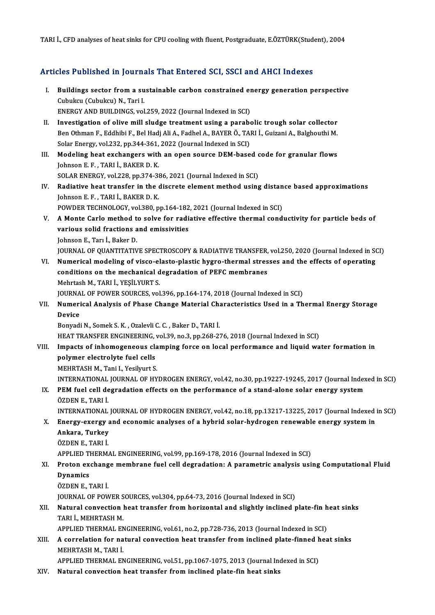TARI İ., CFD analyses of heat sinks for CPU cooling with fluent, Postgraduate, E.ÖZTÜRK(Student), 2004

#### Articles Published in Journals That Entered SCI, SSCI and AHCI Indexes

- rticles Published in Journals That Entered SCI, SSCI and AHCI Indexes<br>I. Buildings sector from a sustainable carbon constrained energy generation perspective<br>Cubukay (Cubukay) N. Tari I. Buildings sector from a su<br>Cubukcu (Cubukcu) N., Tari I.<br>ENEPCY AND PUILDINGS vol Buildings sector from a sustainable carbon constrained en<br>Cubukcu (Cubukcu) N., Tari I.<br>ENERGY AND BUILDINGS, vol.259, 2022 (Journal Indexed in SCI)<br>Investigation of olive mill cludge treatment using a parabe Cubukcu (Cubukcu) N., Tari I.<br>ENERGY AND BUILDINGS, vol.259, 2022 (Journal Indexed in SCI)<br>II. Investigation of olive mill sludge treatment using a parabolic trough solar collector<br>Pen Othman E. Eddbibi E. Pol Hodi Ali A.
- ENERGY AND BUILDINGS, vol.259, 2022 (Journal Indexed in SCI)<br>Investigation of olive mill sludge treatment using a parabolic trough solar collector<br>Ben Othman F., Eddhibi F., Bel Hadj Ali A., Fadhel A., BAYER Ö., TARI İ., G Investigation of olive mill sludge treatment using a parabe<br>Ben Othman F., Eddhibi F., Bel Hadj Ali A., Fadhel A., BAYER Ö., TAl<br>Solar Energy, vol.232, pp.344-361, 2022 (Journal Indexed in SCI)<br>Medeling best exchangers wit Ben Othman F., Eddhibi F., Bel Hadj Ali A., Fadhel A., BAYER Ö., TARI İ., Guizani A., Balghouthi M.<br>Solar Energy, vol.232, pp.344-361, 2022 (Journal Indexed in SCI)<br>III. Modeling heat exchangers with an open source DEM-bas
- Solar Energy, vol.232, pp.344-361,<br>Modeling heat exchangers with<br>Johnson E. F. , TARI İ., BAKER D. K.<br>SOLAR ENERCY, vol.228, pp.274, 29 Modeling heat exchangers with an open source DEM-based c<br>Johnson E. F., TARI İ., BAKER D. K.<br>SOLAR ENERGY, vol.228, pp.374-386, 2021 (Journal Indexed in SCI)<br>Bodiative beet transfor in the diserate element method using
- Johnson E. F., TARI İ., BAKER D. K.<br>SOLAR ENERGY, vol.228, pp.374-386, 2021 (Journal Indexed in SCI)<br>IV. Radiative heat transfer in the discrete element method using distance based approximations<br>Johnson E. E., TARLİ. BAKE SOLAR ENERGY, vol.228, pp.374-386, 2021 (Journal Indexed in SCI)<br>Radiative heat transfer in the discrete element method using distan<br>Johnson E. F., TARI İ., BAKER D. K.<br>POWDER TECHNOLOGY, vol.380, pp.164-182, 2021 (Journal Radiative heat transfer in the discrete element method using distan<br>Johnson E. F., TARI İ., BAKER D. K.<br>POWDER TECHNOLOGY, vol.380, pp.164-182, 2021 (Journal Indexed in SCI)<br>A Monto Carlo method to solve for redistive effe
- Johnson E. F. , TARI İ., BAKER D. K.<br>POWDER TECHNOLOGY, vol.380, pp.164-182, 2021 (Journal Indexed in SCI)<br>V. A Monte Carlo method to solve for radiative effective thermal conductivity for particle beds of<br>vorious solid fr POWDER TECHNOLOGY, vol.380, pp.164-182<br>A Monte Carlo method to solve for radio<br>various solid fractions and emissivities<br>Johnson E. Tom <sup>i</sup>. Polson D. A Monte Carlo method t<br>various solid fractions a<br>Johnson E., Tarı İ., Baker D.<br>JOUPNAL OF OUANTITATIV various solid fractions and emissivities<br>Johnson E., Tarı İ., Baker D.<br>JOURNAL OF QUANTITATIVE SPECTROSCOPY & RADIATIVE TRANSFER, vol.250, 2020 (Journal Indexed in SCI)<br>Numerical modeling of visco electo plastic bygro, the Johnson E., Tarı İ., Baker D.<br>JOURNAL OF QUANTITATIVE SPECTROSCOPY & RADIATIVE TRANSFER, vol.250, 2020 (Journal Indexed in Stresses and the effects of operating<br>VI. Numerical modeling of visco-elasto-plastic hygro-ther
- JOURNAL OF QUANTITATIVE SPECTROSCOPY & RADIATIVE TRANSFER,<br>Numerical modeling of visco-elasto-plastic hygro-thermal stres<br>conditions on the mechanical degradation of PEFC membranes<br>Mehrtash M. TABLL YESILYUPT S conditions on the mechanical degradation of PEFC membranes<br>Mehrtash M., TARI İ., YEŞİLYURT S. conditions on the mechanical degradation of PEFC membranes<br>Mehrtash M., TARI İ., YEŞİLYURT S.<br>JOURNAL OF POWER SOURCES, vol.396, pp.164-174, 2018 (Journal Indexed in SCI)<br>Numerical Analysis of Phase Change Material Charact

Mehrtash M., TARI İ., YEŞİLYURT S.<br>JOURNAL OF POWER SOURCES, vol.396, pp.164-174, 2018 (Journal Indexed in SCI)<br>VII. Numerical Analysis of Phase Change Material Characteristics Used in a Thermal Energy Storage<br>Devise JOURNA<br><mark>Numer</mark>i<br>Device<br><sup>Ronuedi</sup> **Numerical Analysis of Phase Change Material Ch.<br>Device<br>Bonyadi N., Somek S. K. , Ozalevli C. C. , Baker D., TARI İ.**<br>HEAT TRANSEER ENCINEERING, vol 30, no 3, nn 269, 2. Device<br>Bonyadi N., Somek S. K. , Ozalevli C. C. , Baker D., TARI İ.<br>HEAT TRANSFER ENGINEERING, vol.39, no.3, pp.268-276, 2018 (Journal Indexed in SCI)

### Bonyadi N., Somek S. K. , Ozalevli C. C. , Baker D., TARI İ.<br>HEAT TRANSFER ENGINEERING, vol.39, no.3, pp.268-276, 2018 (Journal Indexed in SCI)<br>VIII. Impacts of inhomogeneous clamping force on local performance and liquid HEAT TRANSFER ENGINEERING,<br>Impacts of inhomogeneous cla<br>polymer electrolyte fuel cells<br>MEUDTASH M. Tani L. Yosilmut S Impacts of inhomogeneous cla<br>polymer electrolyte fuel cells<br>MEHRTASH M., Tani I., Yesilyurt S.<br>INTERNATIONAL JOURNAL OF UV polymer electrolyte fuel cells<br>MEHRTASH M., Tani I., Yesilyurt S.<br>INTERNATIONAL JOURNAL OF HYDROGEN ENERGY, vol.42, no.30, pp.19227-19245, 2017 (Journal Indexed in SCI)<br>REM fuel cell degradation offects on the performance

## MEHRTASH M., Tani I., Yesilyurt S.<br>INTERNATIONAL JOURNAL OF HYDROGEN ENERGY, vol.42, no.30, pp.19227-19245, 2017 (Journal Index<br>IX. PEM fuel cell degradation effects on the performance of a stand-alone solar energy system<br> INTERNATIONAL<br>PEM fuel cell de<br>ÖZDEN E., TARI İ.<br>INTERNATIONAL PEM fuel cell degradation effects on the performance of a stand-alone solar energy system<br>ÖZDEN E., TARI İ.<br>INTERNATIONAL JOURNAL OF HYDROGEN ENERGY, vol.42, no.18, pp.13217-13225, 2017 (Journal Indexed in SCI)<br>Energy exer

### ÖZDEN E., TARI İ.<br>INTERNATIONAL JOURNAL OF HYDROGEN ENERGY, vol.42, no.18, pp.13217-13225, 2017 (Journal Indexed<br>X. Energy-exergy and economic analyses of a hybrid solar-hydrogen renewable energy system in<br>Ankara Turke **INTERNATIONAL<br>Energy-exergy a<br>Ankara, Turkey<br>ÖZDEN E. TABLİ** X. Energy-exergy and economic analyses of a hybrid solar-hydrogen renewable energy system in<br>Ankara, Turkey<br>ÖZDEN E., TARI İ.

APPLIED THERMAL ENGINEERING, vol.99, pp.169-178, 2016 (Journal Indexed in SCI)

## ÖZDEN E., TARI İ.<br>APPLIED THERMAL ENGINEERING, vol.99, pp.169-178, 2016 (Journal Indexed in SCI)<br>XI. Proton exchange membrane fuel cell degradation: A parametric analysis using Computational Fluid<br>Dunamics **APPLIED T<br>Proton ex<br>Dynamics<br>ÖZDEN E 1** Proton exchang<br>Dynamics<br>ÖZDEN E., TARI İ.<br>JOUPNAL OF POM

Dynamics<br>ÖZDEN E., TARI İ.<br>JOURNAL OF POWER SOURCES, vol.304, pp.64-73, 2016 (Journal Indexed in SCI)<br>Natural convection boat transfor from borizontal and clightly inclined r ÖZDEN E., TARI İ.<br>JOURNAL OF POWER SOURCES, vol.304, pp.64-73, 2016 (Journal Indexed in SCI)<br>XII. Natural convection heat transfer from horizontal and slightly inclined plate-fin heat sinks<br>TARLİ MEHRTASH M

# **JOURNAL OF POWER S<br>Natural convection |<br>TARI İ., MEHRTASH M.<br>APPLIED TUEPMAL EN** Natural convection heat transfer from horizontal and slightly inclined plate-fin h<br>TARI İ., MEHRTASH M.<br>APPLIED THERMAL ENGINEERING, vol.61, no.2, pp.728-736, 2013 (Journal Indexed in SCI)<br>A conrelation for natural convect

TARI İ., MEHRTASH M.<br>APPLIED THERMAL ENGINEERING, vol.61, no.2, pp.728-736, 2013 (Journal Indexed in SCI)<br>XIII. A correlation for natural convection heat transfer from inclined plate-finned heat sinks<br>MEHRTASH M. TARLİ APPLIED THERMAL ENGINEERING, vol.61, no.2, pp.728-736, 2013 (Journal Indexed in SCI)<br>A correlation for natural convection heat transfer from inclined plate-finned hea<br>MEHRTASH M., TARI İ.<br>APPLIED THERMAL ENGINEERING, vol.5 A correlation for natural convection heat transfer from inclined plate-finned h<br>MEHRTASH M., TARI İ.<br>APPLIED THERMAL ENGINEERING, vol.51, pp.1067-1075, 2013 (Journal Indexed in SCI)<br>Natural convection best transfer from in

XIV. Natural convection heat transfer frominclined plate-fin heat sinks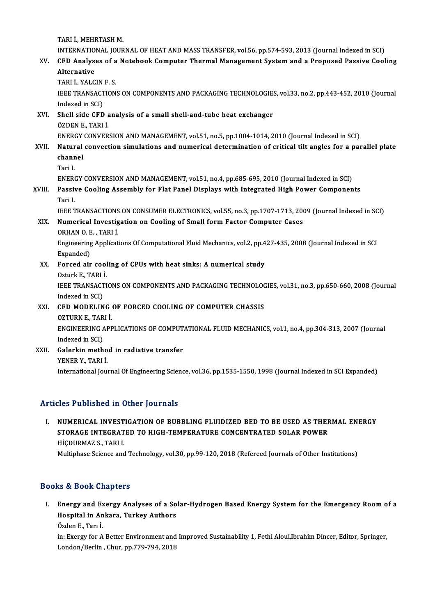TARI İ., MEHRTASH M.

TARI İ., MEHRTASH M.<br>INTERNATIONAL JOURNAL OF HEAT AND MASS TRANSFER, vol.56, pp.574-593, 2013 (Journal Indexed in SCI)<br>CED Anglyses of a Natabook Computer Thermal Management System and a Pranased Bassiye Cool

### TARI İ., MEHRTASH M.<br>INTERNATIONAL JOURNAL OF HEAT AND MASS TRANSFER, vol.56, pp.574-593, 2013 (Journal Indexed in SCI)<br>XV. CFD Analyses of a Notebook Computer Thermal Management System and a Proposed Passive Coolin INTERNATIO<br>CFD Analys<br>Alternative<br>TABLİ VALC XV. CFD Analyses of a Notebook Computer Thermal Management System and a Proposed Passive Cooling<br>Alternative<br>TARI İ., YALCIN F. S.

Alternative<br>TARI İ., YALCIN F. S.<br>IEEE TRANSACTIONS ON COMPONENTS AND PACKAGING TECHNOLOGIES, vol.33, no.2, pp.443-452, 2010 (Journal TARI İ., YALCIN<br>IEEE TRANSACI<br>Indexed in SCI)<br>Shell side CED IEEE TRANSACTIONS ON COMPONENTS AND PACKAGING TECHNOLOGIES<br>Indexed in SCI)<br>XVI. Shell side CFD analysis of a small shell-and-tube heat exchanger<br>ÖZDENE TAPLI

Indexed in SCI)<br>Shell side CFD a<br>ÖZDEN E., TARI İ.<br>ENERCY CONVER Shell side CFD analysis of a small shell-and-tube heat exchanger<br>ÖZDEN E., TARI İ.<br>ENERGY CONVERSION AND MANAGEMENT, vol.51, no.5, pp.1004-1014, 2010 (Journal Indexed in SCI)<br>Natural convection simulations and numerical de

- ÖZDEN E., TARI İ.<br>ENERGY CONVERSION AND MANAGEMENT, vol.51, no.5, pp.1004-1014, 2010 (Journal Indexed in SCI)<br>XVII. Natural convection simulations and numerical determination of critical tilt angles for a parallel plat ENERGY<br>Natural<br>channel<br><sup>Tori I</sup> Natu<mark>r</mark><br>chanr<br>Tari I.<br>ENED*!* channel<br>Tari I.<br>ENERGY CONVERSION AND MANAGEMENT, vol.51, no.4, pp.685-695, 2010 (Journal Indexed in SCI)<br>Pessive Cooling Assembly for Elet Panel Displays with Integrated High Peyser Componen
	-

### Tari I.<br>ENERGY CONVERSION AND MANAGEMENT, vol.51, no.4, pp.685-695, 2010 (Journal Indexed in SCI)<br>XVIII. Passive Cooling Assembly for Flat Panel Displays with Integrated High Power Components<br>Tari I ENERO<br>Passi<br>Tari I.<br>IEEE T Passive Cooling Assembly for Flat Panel Displays with Integrated High Power Components<br>Tari I.<br>IEEE TRANSACTIONS ON CONSUMER ELECTRONICS, vol.55, no.3, pp.1707-1713, 2009 (Journal Indexed in SCI)

# Tari I.<br>IEEE TRANSACTIONS ON CONSUMER ELECTRONICS, vol.55, no.3, pp.1707-1713, 200<br>XIX. Numerical Investigation on Cooling of Small form Factor Computer Cases<br>OPHAN O.E. TAPLI **IEEE TRANSACTIONS<br>Numerical Investig<br>ORHAN O. E. , TARI İ.**<br>Fraineering Annlisat

Numerical Investigation on Cooling of Small form Factor Computer Cases<br>ORHAN O. E. , TARI İ.<br>Engineering Applications Of Computational Fluid Mechanics, vol.2, pp.427-435, 2008 (Journal Indexed in SCI<br>Eunanded) ORHAN O. E<br>Engineering<br>Expanded)<br>Eorsed air Engineering Applications Of Computational Fluid Mechanics, vol.2, pp.4<br>Expanded)<br>XX. Forced air cooling of CPUs with heat sinks: A numerical study<br>Orturk E. TABLI

# Expanded)<br>XX. Forced air cooling of CPUs with heat sinks: A numerical study<br>Ozturk E., TARI İ.

Forced air cooling of CPUs with heat sinks: A numerical study<br>Ozturk E., TARI İ.<br>IEEE TRANSACTIONS ON COMPONENTS AND PACKAGING TECHNOLOGIES, vol.31, no.3, pp.650-660, 2008 (Journal<br>Indexed in SCD. Ozturk E., TARI<br>IEEE TRANSACI<br>Indexed in SCI)<br>CED MODELIN IEEE TRANSACTIONS ON COMPONENTS AND PACKAGING TECHNOLOC<br>Indexed in SCI)<br>XXI. CFD MODELING OF FORCED COOLING OF COMPUTER CHASSIS<br>OZTUPK E TAPLI

# Indexed in SCI)<br>**CFD MODELING**<br>OZTURK E., TARI İ.<br>ENCINEERINC APE

CFD MODELING OF FORCED COOLING OF COMPUTER CHASSIS<br>OZTURK E., TARI İ.<br>ENGINEERING APPLICATIONS OF COMPUTATIONAL FLUID MECHANICS, vol.1, no.4, pp.304-313, 2007 (Journal<br>Indoved in SCD. OZTURK E., TAR<br>ENGINEERING *I*<br>Indexed in SCI) ENGINEERING APPLICATIONS OF COMPUT.<br>Indexed in SCI)<br>XXII. Galerkin method in radiative transfer<br>VENER V. TARLI

Indexed in SCI)<br>Galerkin metho<br>YENER Y., TARI İ.<br>International Iow YENER Y., TARI İ.<br>International Journal Of Engineering Science, vol.36, pp.1535-1550, 1998 (Journal Indexed in SCI Expanded)

#### Articles Published in Other Journals

### Tticles Published in Other Journals<br>I. NUMERICAL INVESTIGATION OF BUBBLING FLUIDIZED BED TO BE USED AS THERMAL ENERGY<br>STORACE INTECRATED TO HICH TEMBERATIIRE CONCENTRATED SOLAR ROWER STOPE INSTIGUENT OUTER JOURNALS<br>NUMERICAL INVESTIGATION OF BUBBLING FLUIDIZED BED TO BE USED AS THER<br>STORAGE INTEGRATED TO HIGH-TEMPERATURE CONCENTRATED SOLAR POWER<br>HIGDUPMAZS, TABLI STORAGE INTEGRATED TO HIGH-TEMPERATURE CONCENTRATED SOLAR POWER HICDURMAZ S., TARI İ.

Multiphase Science and Technology, vol.30, pp.99-120, 2018 (Refereed Journals of Other Institutions)

#### Books&Book Chapters

ooks & Book Chapters<br>I. Energy and Exergy Analyses of a Solar-Hydrogen Based Energy System for the Emergency Room of a<br>Hespital in Ankare, Turkey Authore to & Book Ghapters<br>Energy and Exergy Analyses of a So<br>Hospital in Ankara, Turkey Authors Hospital in Ankara, Turkey Authors<br>Özden E., Tarı İ.

in: Exergy for A Better Environment and Improved Sustainability 1, Fethi Aloui,Ibrahim Dincer, Editor, Springer, London/Berlin, Chur, pp.779-794, 2018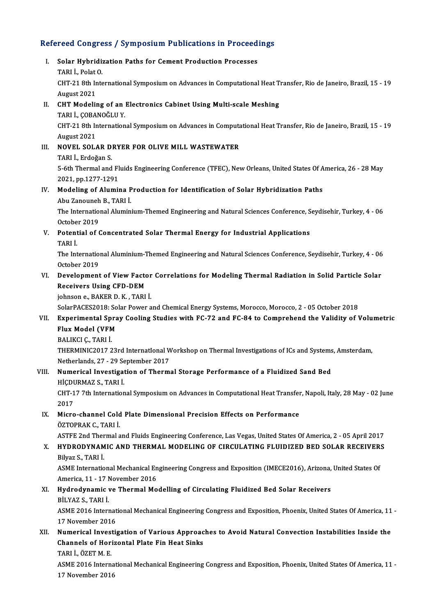# Refereed Congress / Symposium Publications in Proceedings<br>Refereed Congress / Symposium Publications in Proceedings

efereed Congress / Symposium Publications in Proceed<br>I. Solar Hybridization Paths for Cement Production Processes<br>TAPLL Polat O I. Solar Hybridization Paths for Cement Production Processes<br>TARI İ., Polat O. Solar Hybridization Paths for Cement Production Processes<br>TARI İ., Polat O.<br>CHT-21 8th International Symposium on Advances in Computational Heat Transfer, Rio de Janeiro, Brazil, 15 - 19 TARI İ., Polat<br>CHT-21 8th Ir<br>August 2021<br>CHT Modelir CHT-21 8th International Symposium on Advances in Computational Heat T:<br>August 2021<br>II. CHT Modeling of an Electronics Cabinet Using Multi-scale Meshing<br>TABLI CORANOČLU Y August 2021<br>II. CHT Modeling of an Electronics Cabinet Using Multi-scale Meshing<br>TARI İ., ÇOBANOĞLU Y. CHT-Modeling of an Electronics Cabinet Using Multi-scale Meshing<br>TARI İ., ÇOBANOĞLU Y.<br>CHT-21 8th International Symposium on Advances in Computational Heat Transfer, Rio de Janeiro, Brazil, 15 - 19 TARI İ., ÇOBA<br>CHT-21 8th Ir<br>August 2021<br>NOVEL SOL CHT-21 8th International Symposium on Advances in Computa<br>August 2021<br>III. NOVEL SOLAR DRYER FOR OLIVE MILL WASTEWATER<br>TABLE Friedogen S August 2021<br>NOVEL SOLAR D<br>TARI İ., Erdoğan S.<br>5. éth Thermal and TARI İ., Erdoğan S.<br>5-6th Thermal and Fluids Engineering Conference (TFEC), New Orleans, United States Of America, 26 - 28 May 2021,pp.1277-1291 5-6th Thermal and Fluids Engineering Conference (TFEC), New Orleans, United States Of A<br>2021, pp.1277-1291<br>IV. Modeling of Alumina Production for Identification of Solar Hybridization Paths<br>Abu Zanounab P. TAPLI 2021, pp.1277-1291<br>Modeling of Alumina P<br>Abu Zanouneh B., TARI İ.<br>The International Alumin Modeling of Alumina Production for Identification of Solar Hybridization Paths<br>Abu Zanouneh B., TARI İ.<br>The International Aluminium-Themed Engineering and Natural Sciences Conference, Seydisehir, Turkey, 4 - 06<br>Ostabar 201 Abu Zanouneh<br>The Internatio<br>October 2019<br>Potential of C The International Aluminium-Themed Engineering and Natural Sciences Conference, S<br>October 2019<br>V. Potential of Concentrated Solar Thermal Energy for Industrial Applications<br>TABLI October 2019<br>V. Potential of Concentrated Solar Thermal Energy for Industrial Applications<br>TARI İ. Potential of Concentrated Solar Thermal Energy for Industrial Applications<br>TARI İ.<br>The International Aluminium-Themed Engineering and Natural Sciences Conference, Seydisehir, Turkey, 4 - 06<br>Ostabar 2019 TARI İ.<br>The Internatio:<br>October 2019<br>Develenment The International Aluminium-Themed Engineering and Natural Sciences Conference, Seydisehir, Turkey, 4 - 06<br>October 2019<br>VI. Development of View Factor Correlations for Modeling Thermal Radiation in Solid Particle Solar<br>Pes October 2019<br>Development of View Facto<br>Receivers Using CFD-DEM<br>ishneen e BAKER D K. TABL Development of View Factor<br>Receivers Using CFD-DEM<br>johnson e., BAKER D. K. , TARI İ.<br>SelarPACES2019: Selar Peyrar a Receivers Using CFD-DEM<br>johnson e., BAKER D. K. , TARI İ.<br>SolarPACES2018: Solar Power and Chemical Energy Systems, Morocco, Morocco, 2 - 05 October 2018<br>Eunonimental Sanay Cooling Studies with EG 32 and EG 84 to Compushend iohnson e., BAKER D. K. , TARI İ.<br>SolarPACES2018: Solar Power and Chemical Energy Systems, Morocco, Morocco, 2 - 05 October 2018<br>VII. Experimental Spray Cooling Studies with FC-72 and FC-84 to Comprehend the Validity of Vo SolarPACES2018: So<br>Experimental Spra<br>Flux Model (VFM<br>PALIKCLC TAPLI BALIKCIÇ.,TARI İ. Flux Model (VFM<br>BALIKCI Ç., TARI İ.<br>THERMINIC2017 23rd InternatIonal Workshop on Thermal Investigations of ICs and Systems, Amsterdam,<br>Netherlands 27 - 29 September 2017 BALIKCI Ç., TARI İ.<br>THERMINIC2017 23rd International W<br>Netherlands, 27 - 29 September 2017<br>Numerical Investigation of Therm THERMINIC2017 23rd International Workshop on Thermal Investigations of ICs and Systems<br>Netherlands, 27 - 29 September 2017<br>VIII. Numerical Investigation of Thermal Storage Performance of a Fluidized Sand Bed<br>HICDUPMAZ S. T Netherlands, 27 - 29 Se<br>**Numerical Investiga**t<br>HİÇDURMAZ S., TARI İ.<br>CHT 17 7th Internation CHT-17 7th International Symposium on Advances in Computational Heat Transfer, Napoli, Italy, 28 May - 02 June<br>2017 HİÇDURMAZ S., TARI İ CHT-17 7th International Symposium on Advances in Computational Heat Transfer<br>2017<br>IX. Micro-channel Cold Plate Dimensional Precision Effects on Performance<br>ÖZTOPPAK C. TAPLİ 2017<br>Micro-channel Cold<br>ÖZTOPRAK C., TARI İ.<br>ASTEE 2nd Thermal a Micro-channel Cold Plate Dimensional Precision Effects on Performance<br>ÖZTOPRAK C., TARI İ.<br>ASTFE 2nd Thermal and Fluids Engineering Conference, Las Vegas, United States Of America, 2 - 05 April 2017<br>HYDRODYNAMIC AND THERMA ÖZTOPRAK C., TARI İ.<br>ASTFE 2nd Thermal and Fluids Engineering Conference, Las Vegas, United States Of America, 2 - 05 April 2017<br>X. HYDRODYNAMIC AND THERMAL MODELING OF CIRCULATING FLUIDIZED BED SOLAR RECEIVERS<br>Bilyaz S., ASTFE 2nd Ther<br>HYDRODYNAM<br>Bilyaz S., TARI İ.<br>ASME Internatio HYDRODYNAMIC AND THERMAL MODELING OF CIRCULATING FLUIDIZED BED SOLAR RECEIVER:<br>Bilyaz S., TARI İ.<br>ASME International Mechanical Engineering Congress and Exposition (IMECE2016), Arizona, United States Of<br>America 11, 17 Neve Bilyaz S., TARI İ.<br>ASME International Mechanical En<br>America, 11 - 17 November 2016<br>Hudnodunamis ve Tharmal Ma ASME International Mechanical Engineering Congress and Exposition (IMECE2016), Arizona,<br>America, 11 - 17 November 2016<br>XI. Hydrodynamic ve Thermal Modelling of Circulating Fluidized Bed Solar Receivers<br>PUVAZ S. TABLI America, 11 - 17 November 2016<br>XI. Hydrodynamic ve Thermal Modelling of Circulating Fluidized Bed Solar Receivers<br>BİLYAZ S., TARI İ. Hydrodynamic ve Thermal Modelling of Circulating Fluidized Bed Solar Receivers<br>BİLYAZ S., TARI İ.<br>ASME 2016 International Mechanical Engineering Congress and Exposition, Phoenix, United States Of America, 11 -<br>17 Nevember BİLYAZ S., TARI İ.<br>ASME 2016 Internat<br>17 November 2016<br>Numerical Investi ASME 2016 International Mechanical Engineering Congress and Exposition, Phoenix, United States Of America, 11<br>17 November 2016<br>XII. Numerical Investigation of Various Approaches to Avoid Natural Convection Instabilities In 17 November 2016<br>Numerical Investigation of Various Approac<br>Channels of Horizontal Plate Fin Heat Sinks<br>TARLL ÖZET M.E Channels of Horizontal Plate Fin Heat Sinks<br>TARI İ., ÖZET M. E. Channels of Horizontal Plate Fin Heat Sinks<br>TARI İ., ÖZET M. E.<br>ASME 2016 International Mechanical Engineering Congress and Exposition, Phoenix, United States Of America, 11 -TARI İ., ÖZET M. E.<br>ASME 2016 Interna<br>17 November 2016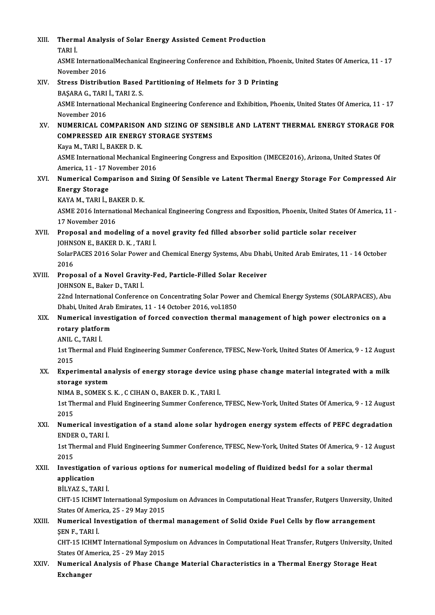| XIII.  | Thermal Analysis of Solar Energy Assisted Cement Production                                                       |
|--------|-------------------------------------------------------------------------------------------------------------------|
|        | TARI İ.                                                                                                           |
|        | ASME InternationalMechanical Engineering Conference and Exhibition, Phoenix, United States Of America, 11 - 17    |
|        | November 2016                                                                                                     |
| XIV.   | Stress Distribution Based Partitioning of Helmets for 3 D Printing                                                |
|        | BAŞARA G., TARI İ., TARI Z. S.                                                                                    |
|        | ASME International Mechanical Engineering Conference and Exhibition, Phoenix, United States Of America, 11 - 17   |
| XV.    | November 2016                                                                                                     |
|        | NUMERICAL COMPARISON AND SIZING OF SENSIBLE AND LATENT THERMAL ENERGY STORAGE FOR                                 |
|        | <b>COMPRESSED AIR ENERGY STORAGE SYSTEMS</b>                                                                      |
|        | Kaya M., TARI İ., BAKER D. K.                                                                                     |
|        | ASME International Mechanical Engineering Congress and Exposition (IMECE2016), Arizona, United States Of          |
|        | America, 11 - 17 November 2016                                                                                    |
| XVI.   | Numerical Comparison and Sizing Of Sensible ve Latent Thermal Energy Storage For Compressed Air                   |
|        | <b>Energy Storage</b>                                                                                             |
|        | KAYA M., TARI İ., BAKER D. K.                                                                                     |
|        | ASME 2016 International Mechanical Engineering Congress and Exposition, Phoenix, United States Of America, 11 -   |
|        | 17 November 2016                                                                                                  |
| XVII.  | Proposal and modeling of a novel gravity fed filled absorber solid particle solar receiver                        |
|        | JOHNSON E., BAKER D. K., TARI İ.                                                                                  |
|        | SolarPACES 2016 Solar Power and Chemical Energy Systems, Abu Dhabi, United Arab Emirates, 11 - 14 October<br>2016 |
| XVIII. | Proposal of a Novel Gravity-Fed, Particle-Filled Solar Receiver                                                   |
|        | JOHNSON E., Baker D., TARI İ.                                                                                     |
|        | 22nd International Conference on Concentrating Solar Power and Chemical Energy Systems (SOLARPACES), Abu          |
|        | Dhabi, United Arab Emirates, 11 - 14 October 2016, vol 1850                                                       |
| XIX.   | Numerical investigation of forced convection thermal management of high power electronics on a                    |
|        | rotary platform                                                                                                   |
|        | ANIL C. TARI İ                                                                                                    |
|        | 1st Thermal and Fluid Engineering Summer Conference, TFESC, New-York, United States Of America, 9 - 12 August     |
|        | 2015                                                                                                              |
| XX.    | Experimental analysis of energy storage device using phase change material integrated with a milk                 |
|        | storage system                                                                                                    |
|        | NIMA B., SOMEK S. K., C CIHAN O., BAKER D. K., TARI İ.                                                            |
|        | 1st Thermal and Fluid Engineering Summer Conference, TFESC, New-York, United States Of America, 9 - 12 August     |
|        | 2015                                                                                                              |
| XXI.   | Numerical investigation of a stand alone solar hydrogen energy system effects of PEFC degradation                 |
|        | ENDER O., TARI İ.                                                                                                 |
|        | 1st Thermal and Fluid Engineering Summer Conference, TFESC, New-York, United States Of America, 9 - 12 August     |
|        | 2015                                                                                                              |
| XXII.  | Investigation of various options for numerical modeling of fluidized bedsI for a solar thermal                    |
|        | application                                                                                                       |
|        | BİLYAZ S., TARI İ.                                                                                                |
|        | CHT-15 ICHMT International Symposium on Advances in Computational Heat Transfer, Rutgers University, United       |
|        | States Of America, 25 - 29 May 2015                                                                               |
| XXIII. | Numerical Investigation of thermal management of Solid Oxide Fuel Cells by flow arrangement                       |
|        | ŞEN F, TARI İ                                                                                                     |
|        | CHT-15 ICHMT International Symposium on Advances in Computational Heat Transfer, Rutgers University, United       |
|        | States Of America, 25 - 29 May 2015                                                                               |
| XXIV.  | Numerical Analysis of Phase Change Material Characteristics in a Thermal Energy Storage Heat                      |
|        | <b>Exchanger</b>                                                                                                  |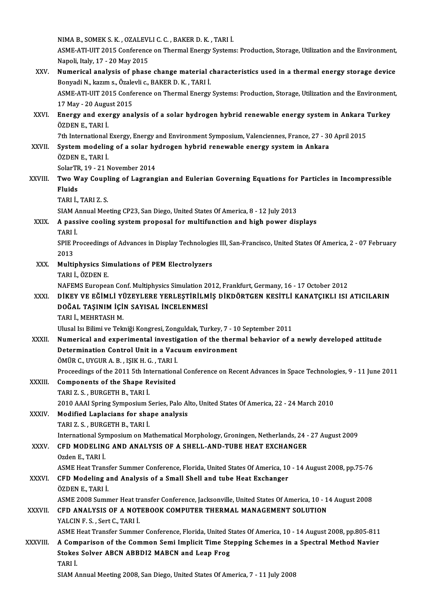NIMAB.,SOMEKS.K. ,OZALEVLIC.C. ,BAKERD.K. ,TARI İ.

NIMA B., SOMEK S. K. , OZALEVLI C. C. , BAKER D. K. , TARI İ.<br>ASME-ATI-UIT 2015 Conference on Thermal Energy Systems: Production, Storage, Utilization and the Environment, NIMA B., SOMEK S. K. , OZALEVI<br>ASME-ATI-UIT 2015 Conference<br>Napoli, Italy, 17 - 20 May 2015<br>Numaniaal analygia of phase ASME-ATI-UIT 2015 Conference on Thermal Energy Systems: Production, Storage, Utilization and the Environment,<br>Napoli, Italy, 17 - 20 May 2015<br>XXV. Numerical analysis of phase change material characteristics used in a therm

#### Napoli, Italy, 17 - 20 May 2015<br>Numerical analysis of phase change material characteristics used in a thermal energy storage device ASME-ATI-UIT 2015 Conference on Thermal Energy Systems: Production, Storage, Utilization and the Environment, Bonyadi N., kazım s., Özalevli c., BAKER D. K., TARI İ. ASME-ATI-UIT 2015 Conference on Thermal Energy Systems: Production, Storage, Utilization and the Environmen<br>17 May - 20 August 2015<br>XXVI. Energy and exergy analysis of a solar hydrogen hybrid renewable energy system in Ank

# 17 May - 20 August 2015<br>Energy and exergy analysis of a solar hydrogen hybrid renewable energy system in Ankara<br>ÖZDEN E., TARI İ.<br>7th International Exergy, Energy and Environment Symposium, Valenciennes, France, 27 - 30 Ap Energy and exergy analysis of a solar hydrogen hybrid renewable energy system in Ankara "<br>ÖZDEN E., TARI İ.<br>7th International Exergy, Energy and Environment Symposium, Valenciennes, France, 27 - 30 April 2015<br>System modeli

- ÖZDEN E., TARI İ.<br>7th International Exergy, Energy and Environment Symposium, Valenciennes, France, 27 30<br>XXVII. System modeling of a solar hydrogen hybrid renewable energy system in Ankara<br>ÖZDENE, TARLİ 7th International<br>System modelin<br>ÖZDEN E., TARI İ.<br>SelerTP 19 - 21 N System modeling of a solar hy<br>ÖZDEN E., TARI İ.<br>SolarTR, 19 - 21 November 2014<br>Two Woy Counling of Lagrang ÖZDEN E., TARI İ.<br>SolarTR, 19 - 21 November 2014<br>XXVIII. Two Way Coupling of Lagrangian and Eulerian Governing Equations for Particles in Incompressible SolarTF<br><mark>Two W</mark><br>Fluids<br>T<u>ARI</u> İ Two Way Coupl<br>Fluids<br>TARI İ., TARI Z. S.<br>SIAM Annuel Mee
	-

Fluids<br>TARI İ., TARI Z. S.<br>SIAM Annual Meeting CP23, San Diego, United States Of America, 8 - 12 July 2013<br>A nassive sooling system proposal for multifungtion and high nower dis

# TARI İ., TARI Z. S.<br>SIAM Annual Meeting CP23, San Diego, United States Of America, 8 - 12 July 2013<br>XXIX. A passive cooling system proposal for multifunction and high power displays<br>TARI İ. SIAM A<br>**A pass**<br>TARI İ.<br>SPIE P.

A passive cooling system proposal for multifunction and high power displays<br>TARI İ.<br>SPIE Proceedings of Advances in Display Technologies III, San-Francisco, United States Of America, 2 - 07 February<br>2012 TARI <mark>İ</mark><br>SPIE F<br>2013 SPIE Proceedings of Advances in Display Technologie<br>2013<br>XXX. Multiphysics Simulations of PEM Electrolyzers<br>TABLE ÖZDENE

2013<br>Multiphysics Sir<br>TARI İ., ÖZDEN E.<br>NAEEMS Europea Multiphysics Simulations of PEM Electrolyzers<br>TARI İ., ÖZDEN E.<br>NAFEMS European Conf. Multiphysics Simulation 2012, Frankfurt, Germany, 16 - 17 October 2012<br>DİKEV VE EĞİMLİ VÜZEVLERE VERLESTİRLI MİS DİKDÖRTCEN KESİTLİ KANA TARI İ., ÖZDEN E.<br>NAFEMS European Conf. Multiphysics Simulation 2012, Frankfurt, Germany, 16 - 17 October 2012<br>XXXI. DİKEY VE EĞİMLİ YÜZEYLERE YERLEŞTİRİLMİŞ DİKDÖRTGEN KESİTLİ KANATÇIKLI ISI ATICILARIN<br>DOĞAL TASINIM İ

### NAFEMS European Conf. Multiphysics Simulation 2<br>DİKEY VE EĞİMLİ YÜZEYLERE YERLEŞTİRİLM<br>DOĞAL TAŞINIM İÇİN SAYISAL İNCELENMESİ<br>TARLİ MEHRTASH M DİKEY VE EĞİMLİ Yİ<br>DOĞAL TAŞINIM İÇİ<br>TARI İ., MEHRTASH M.<br>Ulucal İ.: Bilimi ve Talı DOĞAL TAŞINIM İÇİN SAYISAL İNCELENMESİ<br>TARI İ., MEHRTASH M.<br>Ulusal Isı Bilimi ve Tekniği Kongresi, Zonguldak, Turkey, 7 - 10 September 2011

TARI İ., MEHRTASH M.<br>Ulusal Isı Bilimi ve Tekniği Kongresi, Zonguldak, Turkey, 7 - 10 September 2011<br>XXXII. Numerical and experimental investigation of the thermal behavior of a newly developed attitude<br> Ulusal Isı Bilimi ve Tekniği Kongresi, Zonguldak, Turkey, 7 - 10<br>Numerical and experimental investigation of the therr<br>Determination Control Unit in a Vacuum environment<br>ÖMÜP C JIVCUP A P JSIK H C TAPLİ Numerical and experimental investignation<br>Determination Control Unit in a Vac<br>ÖMÜR C., UYGUR A. B. , IŞIK H. G. , TARI İ.<br>Preseedinge of the 2011 Eth Internations Determination Control Unit in a Vacuum environment<br>ÖMÜR C., UYGUR A. B. , IŞIK H. G. , TARI İ.<br>Proceedings of the 2011 5th International Conference on Recent Advances in Space Technologies, 9 - 11 June 2011

## ÖMÜR C., UYGUR A. B., IŞIK H. G., TARI İ.<br>Proceedings of the 2011 5th Internationa<br>XXXIII. Components of the Shape Revisited<br>TARI Z. S., BURGETH B., TARI İ. Proceedings of the 2011 5th Int<br>**Components of the Shape R**<br>TARI Z. S. , BURGETH B., TARI İ.<br>2010 AAAI Spring Sumposium S Components of the Shape Revisited<br>TARI Z. S. , BURGETH B., TARI İ.<br>2010 AAAI Spring Symposium Series, Palo Alto, United States Of America, 22 - 24 March 2010<br>Modified Laplasians for shape analysis.

XXXIV. Modified Laplacians for shape analysis 2010 AAAI Spring Symposium S<br>Modified Laplacians for sha<br>TARI Z. S. , BURGETH B., TARI İ.<br>International Symposium on Me

Modified Laplacians for shape analysis<br>TARI Z. S. , BURGETH B., TARI İ.<br>International Symposium on Mathematical Morphology, Groningen, Netherlands, 24 - 27 August 2009<br>CED MODELING AND ANALYSIS OF A SHELL AND TURE HEAT EXC

#### XXXV. CFD MODELING AND ANALYSIS OF A SHELL-AND-TUBE HEAT EXCHANGER<br>Ozden E., TARI İ. International Syr<br>CFD MODELIN<br>Ozden E., TARI İ.<br>ASME Hoat Tran CFD MODELING AND ANALYSIS OF A SHELL-AND-TUBE HEAT EXCHANGER<br>Ozden E., TARI İ.<br>ASME Heat Transfer Summer Conference, Florida, United States Of America, 10 - 14 August 2008, pp.75-76<br>CED Modeling and Analysis of a Small Sha

#### XXXVI. CFD Modeling and Analysis of a Small Shell and tube Heat Exchanger<br>ÖZDEN E. TARI İ. ASME Heat Trans<br>CFD Modeling a<br>ÖZDEN E., TARI İ.<br>ASME 2009 Sumn CFD Modeling and Analysis of a Small Shell and tube Heat Exchanger<br>ÖZDEN E., TARI İ.<br>ASME 2008 Summer Heat transfer Conference, Jacksonville, United States Of America, 10 - 14 August 2008<br>CED ANALYSIS OF A NOTEROOK COMPUTE

ÖZDEN E., TARI İ.<br>ASME 2008 Summer Heat transfer Conference, Jacksonville, United States Of America, 10 - 1<br>XXXVII. CFD ANALYSIS OF A NOTEBOOK COMPUTER THERMAL MANAGEMENT SOLUTION<br>VALCIN E S. SOT C. TABLİ ASME 2008 Summer Heat tr<br>CFD ANALYSIS OF A NOT<br>YALCIN F. S., Sert C., TARI İ.

CFD ANALYSIS OF A NOTEBOOK COMPUTER THERMAL MANAGEMENT SOLUTION<br>YALCIN F. S., Sert C., TARI İ.<br>ASME Heat Transfer Summer Conference, Florida, United States Of America, 10 - 14 August 2008, pp.805-811

#### YALCIN F. S., Sert C., TARI I.<br>ASME Heat Transfer Summer Conference, Florida, United States Of America, 10 - 14 August 2008, pp.805-811<br>XXXVIII. A Comparison of the Common Semi Implicit Time Stepping Schemes in a Spectral ASME Heat Transfer Summer Conference, Florida, United S<br>A Comparison of the Common Semi Implicit Time Ste<br>Stokes Solver ABCN ABBDI2 MABCN and Leap Frog<br>TABLI A Com<br>Stokes<br>TARI İ.<br>SIAM A Stokes Solver ABCN ABBDI2 MABCN and Leap Frog<br>TARI İ.<br>SIAM Annual Meeting 2008, San Diego, United States Of America, 7 - 11 July 2008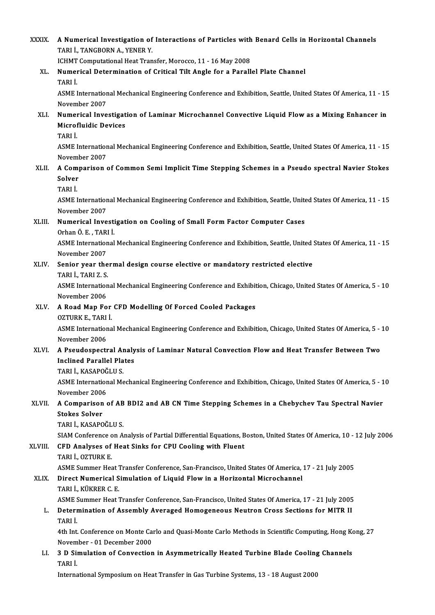| <b>XXXIX</b> | A Numerical Investigation of Interactions of Particles with Benard Cells in Horizontal Channels<br>TARI İ., TANGBORN A., YENER Y.                      |
|--------------|--------------------------------------------------------------------------------------------------------------------------------------------------------|
|              | ICHMT Computational Heat Transfer, Morocco, 11 - 16 May 2008                                                                                           |
| XL.          | Numerical Determination of Critical Tilt Angle for a Parallel Plate Channel<br>TARI İ.                                                                 |
|              | ASME International Mechanical Engineering Conference and Exhibition, Seattle, United States Of America, 11 - 15<br>November 2007                       |
| XLI.         | Numerical Investigation of Laminar Microchannel Convective Liquid Flow as a Mixing Enhancer in<br><b>Microfluidic Devices</b>                          |
|              | TARI İ.                                                                                                                                                |
|              | ASME International Mechanical Engineering Conference and Exhibition, Seattle, United States Of America, 11 - 15<br>November 2007                       |
| XLII.        | A Comparison of Common Semi Implicit Time Stepping Schemes in a Pseudo spectral Navier Stokes<br>Solver                                                |
|              | TARI İ.                                                                                                                                                |
|              | ASME International Mechanical Engineering Conference and Exhibition, Seattle, United States Of America, 11 - 15<br>November 2007                       |
| XLIII.       | Numerical Investigation on Cooling of Small Form Factor Computer Cases<br>Orhan Ö. E., TARI İ.                                                         |
|              | ASME International Mechanical Engineering Conference and Exhibition, Seattle, United States Of America, 11 - 15<br>November 2007                       |
| XLIV.        | Senior year thermal design course elective or mandatory restricted elective<br>TARI İ., TARI Z. S.                                                     |
|              | ASME International Mechanical Engineering Conference and Exhibition, Chicago, United States Of America, 5 - 10<br>November 2006                        |
| XLV.         | A Road Map For CFD Modelling Of Forced Cooled Packages<br>OZTURK E , TARI İ                                                                            |
|              | ASME International Mechanical Engineering Conference and Exhibition, Chicago, United States Of America, 5 - 10<br>November 2006                        |
| XLVI.        | A Pseudospectral Analysis of Laminar Natural Convection Flow and Heat Transfer Between Two<br><b>Inclined Parallel Plates</b><br>TARI İ., KASAPOĞLU S. |
|              | ASME International Mechanical Engineering Conference and Exhibition, Chicago, United States Of America, 5 - 10<br>November 2006                        |
| XLVII.       | A Comparison of AB BDI2 and AB CN Time Stepping Schemes in a Chebychev Tau Spectral Navier<br><b>Stokes Solver</b>                                     |
|              | TARI İ., KASAPOĞLU S.                                                                                                                                  |
|              | SIAM Conference on Analysis of Partial Differential Equations, Boston, United States Of America, 10 - 12 July 2006                                     |
| XLVIII.      | CFD Analyses of Heat Sinks for CPU Cooling with Fluent<br>TARI İ., OZTURK E.                                                                           |
|              | ASME Summer Heat Transfer Conference, San-Francisco, United States Of America, 17 - 21 July 2005                                                       |
| XLIX.        | Direct Numerical Simulation of Liquid Flow in a Horizontal Microchannel<br>TARI İ., KÜKRER C. E.                                                       |
|              | ASME Summer Heat Transfer Conference, San-Francisco, United States Of America, 17 - 21 July 2005                                                       |
| L.           | Determination of Assembly Averaged Homogeneous Neutron Cross Sections for MITR II<br>TARI İ.                                                           |
|              | 4th Int. Conference on Monte Carlo and Quasi-Monte Carlo Methods in Scientific Computing, Hong Kong, 27<br>November - 01 December 2000                 |
| LI.          | 3 D Simulation of Convection in Asymmetrically Heated Turbine Blade Cooling Channels<br>TARI İ.                                                        |
|              | International Symposium on Heat Transfer in Gas Turbine Systems, 13 - 18 August 2000                                                                   |